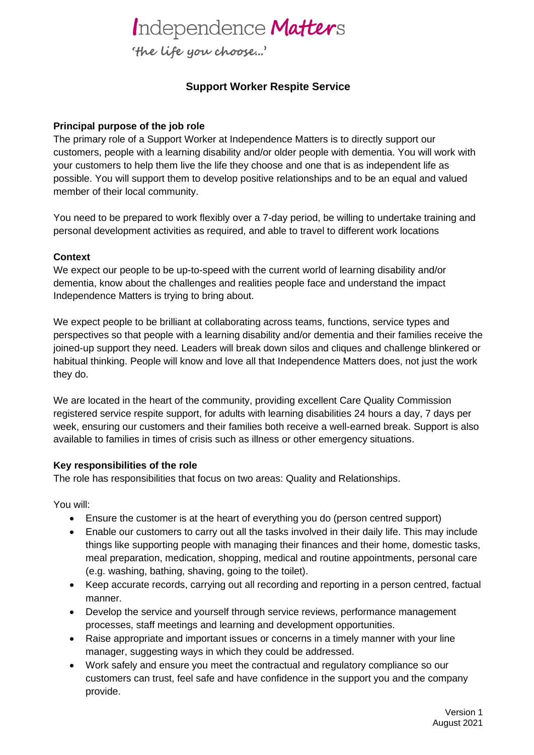## Independence Matters

'the life you choose...'

### **Support Worker Respite Service**

### **Principal purpose of the job role**

The primary role of a Support Worker at Independence Matters is to directly support our customers, people with a learning disability and/or older people with dementia. You will work with your customers to help them live the life they choose and one that is as independent life as possible. You will support them to develop positive relationships and to be an equal and valued member of their local community.

You need to be prepared to work flexibly over a 7-day period, be willing to undertake training and personal development activities as required, and able to travel to different work locations

### **Context**

We expect our people to be up-to-speed with the current world of learning disability and/or dementia, know about the challenges and realities people face and understand the impact Independence Matters is trying to bring about.

We expect people to be brilliant at collaborating across teams, functions, service types and perspectives so that people with a learning disability and/or dementia and their families receive the joined-up support they need. Leaders will break down silos and cliques and challenge blinkered or habitual thinking. People will know and love all that Independence Matters does, not just the work they do.

We are located in the heart of the community, providing excellent Care Quality Commission registered service respite support, for adults with learning disabilities 24 hours a day, 7 days per week, ensuring our customers and their families both receive a well-earned break. Support is also available to families in times of crisis such as illness or other emergency situations.

### **Key responsibilities of the role**

The role has responsibilities that focus on two areas: Quality and Relationships.

You will:

- Ensure the customer is at the heart of everything you do (person centred support)
- Enable our customers to carry out all the tasks involved in their daily life. This may include things like supporting people with managing their finances and their home, domestic tasks, meal preparation, medication, shopping, medical and routine appointments, personal care (e.g. washing, bathing, shaving, going to the toilet).
- Keep accurate records, carrying out all recording and reporting in a person centred, factual manner.
- Develop the service and yourself through service reviews, performance management processes, staff meetings and learning and development opportunities.
- Raise appropriate and important issues or concerns in a timely manner with your line manager, suggesting ways in which they could be addressed.
- Work safely and ensure you meet the contractual and regulatory compliance so our customers can trust, feel safe and have confidence in the support you and the company provide.